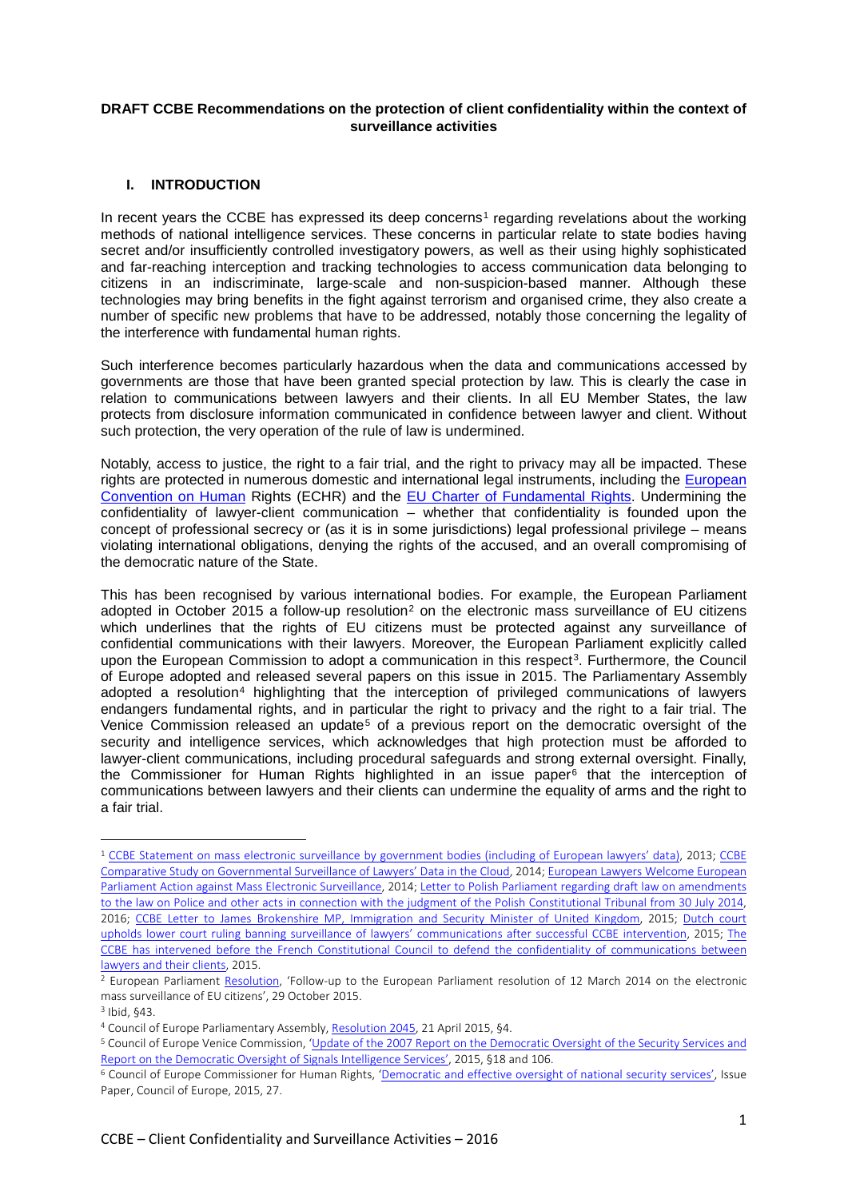### **DRAFT CCBE Recommendations on the protection of client confidentiality within the context of surveillance activities**

# **I. INTRODUCTION**

In recent years the CCBE has expressed its deep concerns<sup>[1](#page-0-0)</sup> regarding revelations about the working methods of national intelligence services. These concerns in particular relate to state bodies having secret and/or insufficiently controlled investigatory powers, as well as their using highly sophisticated and far-reaching interception and tracking technologies to access communication data belonging to citizens in an indiscriminate, large-scale and non-suspicion-based manner. Although these technologies may bring benefits in the fight against terrorism and organised crime, they also create a number of specific new problems that have to be addressed, notably those concerning the legality of the interference with fundamental human rights.

Such interference becomes particularly hazardous when the data and communications accessed by governments are those that have been granted special protection by law. This is clearly the case in relation to communications between lawyers and their clients. In all EU Member States, the law protects from disclosure information communicated in confidence between lawyer and client. Without such protection, the very operation of the rule of law is undermined.

Notably, access to justice, the right to a fair trial, and the right to privacy may all be impacted. These rights are protected in numerous domestic and international legal instruments, including the European [Convention on Human](http://www.echr.coe.int/Documents/Convention_ENG.pdf) Rights (ECHR) and the [EU Charter of Fundamental Rights.](http://www.europarl.europa.eu/charter/pdf/text_en.pdf) Undermining the confidentiality of lawyer-client communication – whether that confidentiality is founded upon the concept of professional secrecy or (as it is in some jurisdictions) legal professional privilege – means violating international obligations, denying the rights of the accused, and an overall compromising of the democratic nature of the State.

This has been recognised by various international bodies. For example, the European Parliament adopted in October [2](#page-0-1)015 a follow-up resolution<sup>2</sup> on the electronic mass surveillance of EU citizens which underlines that the rights of EU citizens must be protected against any surveillance of confidential communications with their lawyers. Moreover, the European Parliament explicitly called upon the European Commission to adopt a communication in this respect<sup>[3](#page-0-2)</sup>. Furthermore, the Council of Europe adopted and released several papers on this issue in 2015. The Parliamentary Assembly adopted a resolution<sup>[4](#page-0-3)</sup> highlighting that the interception of privileged communications of lawyers endangers fundamental rights, and in particular the right to privacy and the right to a fair trial. The Venice Commission released an update<sup>[5](#page-0-4)</sup> of a previous report on the democratic oversight of the security and intelligence services, which acknowledges that high protection must be afforded to lawyer-client communications, including procedural safeguards and strong external oversight. Finally, the Commissioner for Human Rights highlighted in an issue paper[6](#page-0-5) that the interception of communications between lawyers and their clients can undermine the equality of arms and the right to a fair trial.

<span id="page-0-0"></span><sup>1</sup> [CCBE Statement on mass electronic surveillance by government bodies \(including of European lawyers' data\),](http://www.ccbe.eu/fileadmin/user_upload/NTCdocument/EN_14142013_CCBE_Sta1_1382086457.pdf) 2013; [CCBE](http://www.ccbe.eu/fileadmin/user_upload/NTCdocument/EN_04042014_Comparat1_1400656620.pdf)  [Comparative Study on Governmental Surveillance of Lawyers' Data in the Cloud,](http://www.ccbe.eu/fileadmin/user_upload/NTCdocument/EN_04042014_Comparat1_1400656620.pdf) 2014; [European Lawyers Welcome European](http://www.ccbe.eu/fileadmin/user_upload/NTCdocument/EN_pr_0114pdf1_1395063387.pdf)  [Parliament Action against Mass Electronic Surveillance,](http://www.ccbe.eu/fileadmin/user_upload/NTCdocument/EN_pr_0114pdf1_1395063387.pdf) 2014[; Letter to Polish Parliament regarding draft law on amendments](http://www.ccbe.eu/fileadmin/user_upload/NTCdocument/CCBE_letter_to_Polis1_1452607202.pdf)  [to the law on Police and other acts in connection with the judgment of the Polish Constitutional Tribunal from 30 July 2014,](http://www.ccbe.eu/fileadmin/user_upload/NTCdocument/CCBE_letter_to_Polis1_1452607202.pdf) 2016; [CCBE Letter to James Brokenshire MP, Immigration and Security Minister of United Kingdom,](http://www.ccbe.eu/fileadmin/user_upload/NTCdocument/CCBE_Letter_to_UK_Ma1_1426837203.pdf) 2015; [Dutch court](http://www.ccbe.eu/fileadmin/user_upload/NTCdocument/EN_pr_0615pdf1_1446127708.pdf)  [upholds lower court ruling banning surveillance of lawyers' communications after successful CCBE intervention,](http://www.ccbe.eu/fileadmin/user_upload/NTCdocument/EN_pr_0615pdf1_1446127708.pdf) 2015; [The](http://www.ccbe.eu/fileadmin/user_upload/NTCdocument/EN_pr_0515pdf1_1437381732.pdf)  [CCBE has intervened before the French Constitutional Council to defend the confidentiality of communications between](http://www.ccbe.eu/fileadmin/user_upload/NTCdocument/EN_pr_0515pdf1_1437381732.pdf)  [lawyers and their clients,](http://www.ccbe.eu/fileadmin/user_upload/NTCdocument/EN_pr_0515pdf1_1437381732.pdf) 2015.<br><sup>2</sup> European Parliament [Resolution,](http://www.europarl.europa.eu/sides/getDoc.do?type=TA&reference=P8-TA-2015-0388&language=EN&ring=B8-2015-1092) 'Follow-up to the European Parliament resolution of 12 March 2014 on the electronic

<span id="page-0-1"></span>mass surveillance of EU citizens', 29 October 2015.

<sup>3</sup> Ibid, §43.

<span id="page-0-3"></span><span id="page-0-2"></span><sup>4</sup> Council of Europe Parliamentary Assembly[, Resolution 2045,](http://assembly.coe.int/nw/xml/XRef/Xref-XML2HTML-EN.asp?fileid=21692&lang=en) 21 April 2015, §4.

<span id="page-0-4"></span><sup>5</sup> Council of Europe Venice Commission, ['Update of the 2007 Report on the Democratic Oversight](http://www.venice.coe.int/webforms/documents/default.aspx?pdffile=CDL-AD(2015)006-e) of the Security Services and [Report on the Democratic Oversight of Signals Intelligence Services',](http://www.venice.coe.int/webforms/documents/default.aspx?pdffile=CDL-AD(2015)006-e) 2015, §18 and 106.<br><sup>6</sup> Council of Europe Commissioner for Human Rights, ['Democratic and effective oversight of national security services',](https://wcd.coe.int/com.instranet.InstraServlet?command=com.instranet.CmdBlobGet&InstranetImage=2796355&SecMode=1&DocId=2286978&Usage=2) Issue

<span id="page-0-5"></span>Paper, Council of Europe, 2015, 27.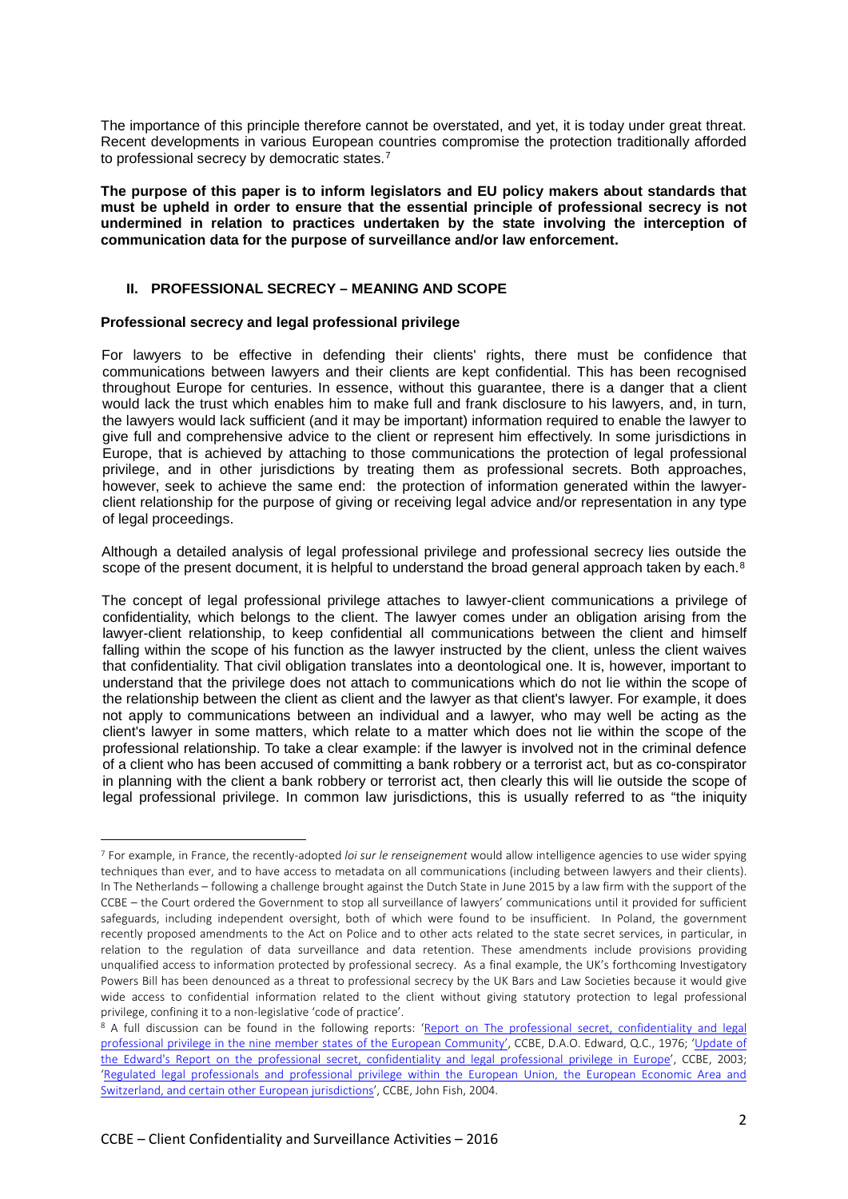The importance of this principle therefore cannot be overstated, and yet, it is today under great threat. Recent developments in various European countries compromise the protection traditionally afforded to professional secrecy by democratic states.[7](#page-1-0)

**The purpose of this paper is to inform legislators and EU policy makers about standards that must be upheld in order to ensure that the essential principle of professional secrecy is not undermined in relation to practices undertaken by the state involving the interception of communication data for the purpose of surveillance and/or law enforcement.** 

### **II. PROFESSIONAL SECRECY – MEANING AND SCOPE**

### **Professional secrecy and legal professional privilege**

For lawyers to be effective in defending their clients' rights, there must be confidence that communications between lawyers and their clients are kept confidential. This has been recognised throughout Europe for centuries. In essence, without this guarantee, there is a danger that a client would lack the trust which enables him to make full and frank disclosure to his lawyers, and, in turn, the lawyers would lack sufficient (and it may be important) information required to enable the lawyer to give full and comprehensive advice to the client or represent him effectively. In some jurisdictions in Europe, that is achieved by attaching to those communications the protection of legal professional privilege, and in other jurisdictions by treating them as professional secrets. Both approaches, however, seek to achieve the same end: the protection of information generated within the lawyerclient relationship for the purpose of giving or receiving legal advice and/or representation in any type of legal proceedings.

Although a detailed analysis of legal professional privilege and professional secrecy lies outside the scope of the present document, it is helpful to understand the broad general approach taken by each.<sup>[8](#page-1-1)</sup>

The concept of legal professional privilege attaches to lawyer-client communications a privilege of confidentiality, which belongs to the client. The lawyer comes under an obligation arising from the lawyer-client relationship, to keep confidential all communications between the client and himself falling within the scope of his function as the lawyer instructed by the client, unless the client waives that confidentiality. That civil obligation translates into a deontological one. It is, however, important to understand that the privilege does not attach to communications which do not lie within the scope of the relationship between the client as client and the lawyer as that client's lawyer. For example, it does not apply to communications between an individual and a lawyer, who may well be acting as the client's lawyer in some matters, which relate to a matter which does not lie within the scope of the professional relationship. To take a clear example: if the lawyer is involved not in the criminal defence of a client who has been accused of committing a bank robbery or a terrorist act, but as co-conspirator in planning with the client a bank robbery or terrorist act, then clearly this will lie outside the scope of legal professional privilege. In common law jurisdictions, this is usually referred to as "the iniquity

<span id="page-1-0"></span><sup>7</sup> For example, in France, the recently-adopted *loi sur le renseignement* would allow intelligence agencies to use wider spying techniques than ever, and to have access to metadata on all communications (including between lawyers and their clients). In The Netherlands – following a challenge brought against the Dutch State in June 2015 by a law firm with the support of the CCBE – the Court ordered the Government to stop all surveillance of lawyers' communications until it provided for sufficient safeguards, including independent oversight, both of which were found to be insufficient. In Poland, the government recently proposed amendments to the Act on Police and to other acts related to the state secret services, in particular, in relation to the regulation of data surveillance and data retention. These amendments include provisions providing unqualified access to information protected by professional secrecy. As a final example, the UK's forthcoming Investigatory Powers Bill has been denounced as a threat to professional secrecy by the UK Bars and Law Societies because it would give wide access to confidential information related to the client without giving statutory protection to legal professional privilege, confining it to a non-legislative 'code of practice'.

<span id="page-1-1"></span><sup>&</sup>lt;sup>8</sup> A full discussion can be found in the following reports: ['Report on The professional secret, confidentiality and](http://www.ccbe.eu/fileadmin/user_upload/NTCdocument/edward_enpdf1_1182334460.pdf) legal professional privilege [in the nine member states of the European Community',](http://www.ccbe.eu/fileadmin/user_upload/NTCdocument/edward_enpdf1_1182334460.pdf) CCBE, D.A.O. Edward, Q.C., 1976; 'Update of [the Edward's Report on the professional secret, confidentiality and](http://www.ccbe.eu/fileadmin/user_upload/NTCdocument/update_edwards_repor1_1182333982.pdf) legal professional privilege in Europe', CCBE, 2003; ['Regulated legal professionals and professional privilege within the European Union, the European Economic Area and](http://www.ccbe.eu/fileadmin/user_upload/NTCdocument/fish_report_enpdf1_1184145269.pdf)  [Switzerland, and certain other European jurisdictions',](http://www.ccbe.eu/fileadmin/user_upload/NTCdocument/fish_report_enpdf1_1184145269.pdf) CCBE, John Fish, 2004.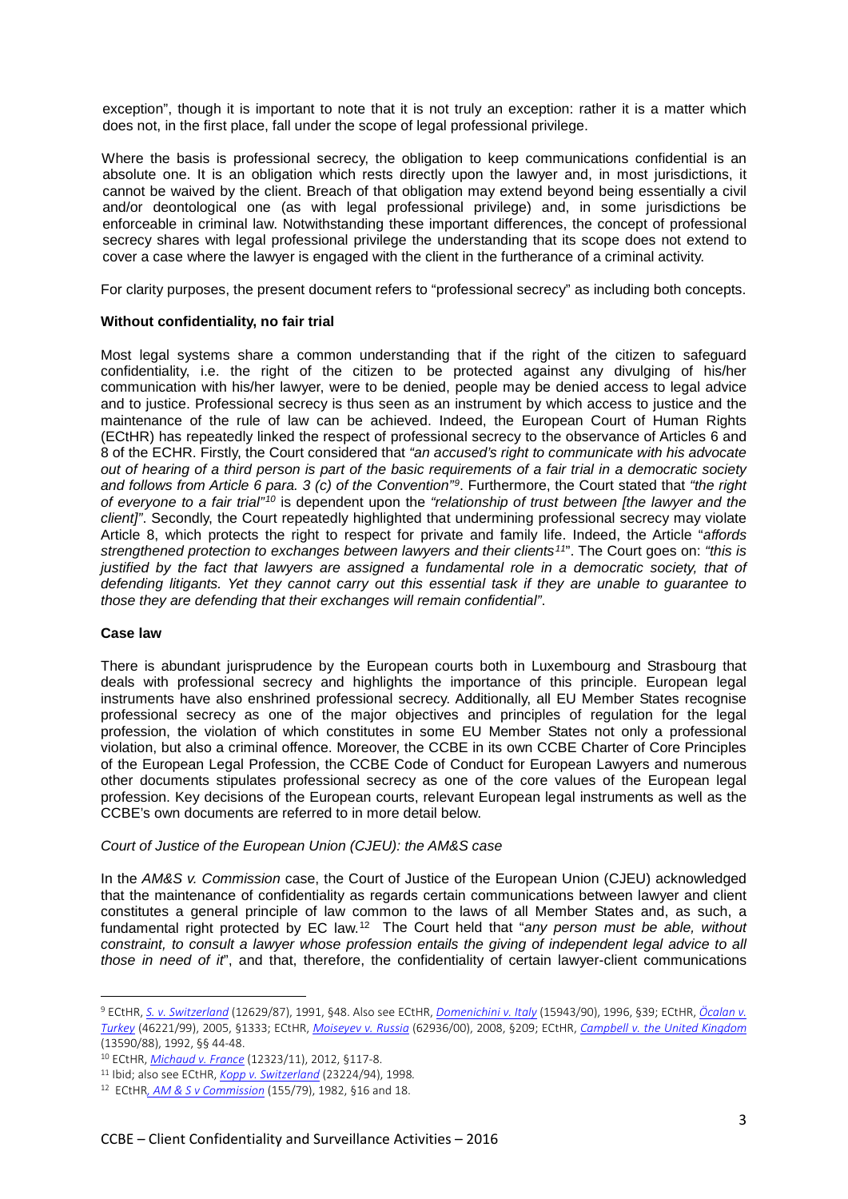exception", though it is important to note that it is not truly an exception: rather it is a matter which does not, in the first place, fall under the scope of legal professional privilege.

Where the basis is professional secrecy, the obligation to keep communications confidential is an absolute one. It is an obligation which rests directly upon the lawyer and, in most jurisdictions, it cannot be waived by the client. Breach of that obligation may extend beyond being essentially a civil and/or deontological one (as with legal professional privilege) and, in some jurisdictions be enforceable in criminal law. Notwithstanding these important differences, the concept of professional secrecy shares with legal professional privilege the understanding that its scope does not extend to cover a case where the lawyer is engaged with the client in the furtherance of a criminal activity.

For clarity purposes, the present document refers to "professional secrecy" as including both concepts.

### **Without confidentiality, no fair trial**

Most legal systems share a common understanding that if the right of the citizen to safeguard confidentiality, i.e. the right of the citizen to be protected against any divulging of his/her communication with his/her lawyer, were to be denied, people may be denied access to legal advice and to justice. Professional secrecy is thus seen as an instrument by which access to justice and the maintenance of the rule of law can be achieved. Indeed, the European Court of Human Rights (ECtHR) has repeatedly linked the respect of professional secrecy to the observance of Articles 6 and 8 of the ECHR. Firstly, the Court considered that *"an accused's right to communicate with his advocate out of hearing of a third person is part of the basic requirements of a fair trial in a democratic society and follows from Article 6 para. 3 (c) of the Convention"[9](#page-2-0)*. Furthermore, the Court stated that *"the right of everyone to a fair trial"[10](#page-2-1)* is dependent upon the *"relationship of trust between [the lawyer and the client]"*. Secondly, the Court repeatedly highlighted that undermining professional secrecy may violate Article 8, which protects the right to respect for private and family life. Indeed, the Article "*affords strengthened protection to exchanges between lawyers and their clients[11](#page-2-2)*". The Court goes on: *"this is justified by the fact that lawyers are assigned a fundamental role in a democratic society, that of defending litigants. Yet they cannot carry out this essential task if they are unable to guarantee to those they are defending that their exchanges will remain confidential"*.

### **Case law**

 $\overline{a}$ 

There is abundant jurisprudence by the European courts both in Luxembourg and Strasbourg that deals with professional secrecy and highlights the importance of this principle. European legal instruments have also enshrined professional secrecy. Additionally, all EU Member States recognise professional secrecy as one of the major objectives and principles of regulation for the legal profession, the violation of which constitutes in some EU Member States not only a professional violation, but also a criminal offence. Moreover, the CCBE in its own CCBE Charter of Core Principles of the European Legal Profession, the CCBE Code of Conduct for European Lawyers and numerous other documents stipulates professional secrecy as one of the core values of the European legal profession. Key decisions of the European courts, relevant European legal instruments as well as the CCBE's own documents are referred to in more detail below.

### *Court of Justice of the European Union (CJEU): the AM&S case*

In the *AM&S v. Commission* case, the Court of Justice of the European Union (CJEU) acknowledged that the maintenance of confidentiality as regards certain communications between lawyer and client constitutes a general principle of law common to the laws of all Member States and, as such, a fundamental right protected by EC law.[12](#page-2-3) The Court held that "*any person must be able, without constraint, to consult a lawyer whose profession entails the giving of independent legal advice to all those in need of it*", and that, therefore, the confidentiality of certain lawyer-client communications

<span id="page-2-0"></span><sup>9</sup> ECtHR, *[S. v. Switzerland](http://hudoc.echr.coe.int/sites/eng/pages/search.aspx?i=001-57709)* (12629/87), 1991, §48. Also see ECtHR, *[Domenichini v. Italy](http://hudoc.echr.coe.int/eng%23%7B%22fulltext%22:%5B%2215943/90%22%5D,%22documentcollectionid2%22:%5B%22GRANDCHAMBER%22,%22CHAMBER%22%5D,%22itemid%22:%5B%22001-58073%22%5D%7D)* (15943/90), 1996, §39; ECtHR, *[Öcalan v.](http://hudoc.echr.coe.int/eng%23%7B%22fulltext%22:%5B%22%C3%96calan%20v.%20Turkey%22%5D,%22documentcollectionid2%22:%5B%22GRANDCHAMBER%22,%22CHAMBER%22%5D,%22itemid%22:%5B%22001-69022%22%5D%7D)  [Turkey](http://hudoc.echr.coe.int/eng%23%7B%22fulltext%22:%5B%22%C3%96calan%20v.%20Turkey%22%5D,%22documentcollectionid2%22:%5B%22GRANDCHAMBER%22,%22CHAMBER%22%5D,%22itemid%22:%5B%22001-69022%22%5D%7D)* (46221/99), 2005, §1333; ECtHR, *[Moiseyev v. Russia](http://hudoc.echr.coe.int/eng%23%7B%22fulltext%22:%5B%22Moiseyev%20v.%20Russia%22%5D,%22documentcollectionid2%22:%5B%22GRANDCHAMBER%22,%22CHAMBER%22%5D,%22itemid%22:%5B%22001-88780%22%5D%7D)* (62936/00), 2008, §209; ECtHR, *[Campbell v. the United Kingdom](http://hudoc.echr.coe.int/eng%23%7B%22fulltext%22:%5B%2213590/88m%22%5D,%22documentcollectionid2%22:%5B%22GRANDCHAMBER%22,%22CHAMBER%22%5D,%22itemid%22:%5B%22001-57771%22%5D%7D)* (13590/88), 1992, §§ 44-48.

<span id="page-2-1"></span><sup>10</sup> ECtHR, *Michaud v. France* [\(](http://hudoc.echr.coe.int/eng%23%7B%22fulltext%22:%5B%22Michaud%20v.%20France%22%5D,%22documentcollectionid2%22:%5B%22GRANDCHAMBER%22,%22CHAMBER%22%5D,%22itemid%22:%5B%22001-115377%22%5D%7D)12323/11), 2012, §117-8. 11 Ibid; also see ECtHR, *[Kopp v. Switzerland](http://hudoc.echr.coe.int/sites/eng/pages/search.aspx?i=001-58144)* (23224/94), <sup>1998</sup>*.* 

<span id="page-2-2"></span>

<span id="page-2-3"></span><sup>12</sup> ECtHR*[, AM & S v Commission](http://eur-lex.europa.eu/legal-content/EN/TXT/?uri=CELEX%3A61979CJ0155)* (155/79), 1982, §16 and 18.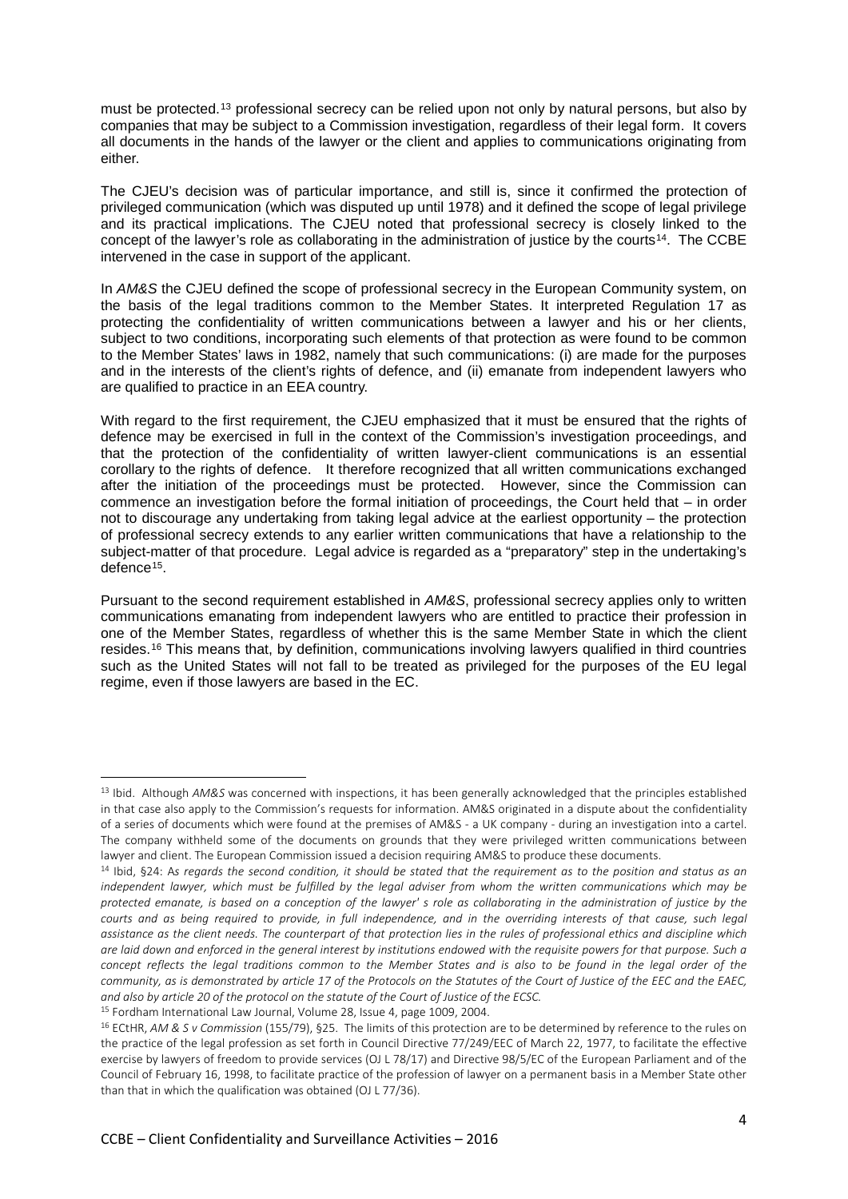must be protected.[13](#page-3-0) professional secrecy can be relied upon not only by natural persons, but also by companies that may be subject to a Commission investigation, regardless of their legal form. It covers all documents in the hands of the lawyer or the client and applies to communications originating from either.

The CJEU's decision was of particular importance, and still is, since it confirmed the protection of privileged communication (which was disputed up until 1978) and it defined the scope of legal privilege and its practical implications. The CJEU noted that professional secrecy is closely linked to the concept of the lawyer's role as collaborating in the administration of justice by the courts<sup>[14](#page-3-1)</sup>. The CCBE intervened in the case in support of the applicant.

In *AM&S* the CJEU defined the scope of professional secrecy in the European Community system, on the basis of the legal traditions common to the Member States. It interpreted Regulation 17 as protecting the confidentiality of written communications between a lawyer and his or her clients, subject to two conditions, incorporating such elements of that protection as were found to be common to the Member States' laws in 1982, namely that such communications: (i) are made for the purposes and in the interests of the client's rights of defence, and (ii) emanate from independent lawyers who are qualified to practice in an EEA country.

With regard to the first requirement, the CJEU emphasized that it must be ensured that the rights of defence may be exercised in full in the context of the Commission's investigation proceedings, and that the protection of the confidentiality of written lawyer-client communications is an essential corollary to the rights of defence. It therefore recognized that all written communications exchanged after the initiation of the proceedings must be protected. However, since the Commission can commence an investigation before the formal initiation of proceedings, the Court held that – in order not to discourage any undertaking from taking legal advice at the earliest opportunity – the protection of professional secrecy extends to any earlier written communications that have a relationship to the subject-matter of that procedure. Legal advice is regarded as a "preparatory" step in the undertaking's defence[15](#page-3-2).

Pursuant to the second requirement established in *AM&S*, professional secrecy applies only to written communications emanating from independent lawyers who are entitled to practice their profession in one of the Member States, regardless of whether this is the same Member State in which the client resides.[16](#page-3-3) This means that, by definition, communications involving lawyers qualified in third countries such as the United States will not fall to be treated as privileged for the purposes of the EU legal regime, even if those lawyers are based in the EC.

<span id="page-3-0"></span><sup>13</sup> Ibid. Although *AM&S* was concerned with inspections, it has been generally acknowledged that the principles established in that case also apply to the Commission's requests for information. AM&S originated in a dispute about the confidentiality of a series of documents which were found at the premises of AM&S - a UK company - during an investigation into a cartel. The company withheld some of the documents on grounds that they were privileged written communications between lawyer and client. The European Commission issued a decision requiring AM&S to produce these documents.

<span id="page-3-1"></span><sup>14</sup> Ibid, §24: A*s regards the second condition, it should be stated that the requirement as to the position and status as an independent lawyer, which must be fulfilled by the legal adviser from whom the written communications which may be protected emanate, is based on a conception of the lawyer' s role as collaborating in the administration of justice by the courts and as being required to provide, in full independence, and in the overriding interests of that cause, such legal assistance as the client needs. The counterpart of that protection lies in the rules of professional ethics and discipline which are laid down and enforced in the general interest by institutions endowed with the requisite powers for that purpose. Such a* concept reflects the legal traditions common to the Member States and is also to be found in the legal order of the *community, as is demonstrated by article 17 of the Protocols on the Statutes of the Court of Justice of the EEC and the EAEC, and also by article 20 of the protocol on the statute of the Court of Justice of the ECSC.*

<span id="page-3-2"></span><sup>15</sup> Fordham International Law Journal, Volume 28, Issue 4, page 1009, 2004.

<span id="page-3-3"></span><sup>16</sup> ECtHR, *AM & S v Commission* (155/79), §25. The limits of this protection are to be determined by reference to the rules on the practice of the legal profession as set forth in Council Directive 77/249/EEC of March 22, 1977, to facilitate the effective exercise by lawyers of freedom to provide services (OJ L 78/17) and Directive 98/5/EC of the European Parliament and of the Council of February 16, 1998, to facilitate practice of the profession of lawyer on a permanent basis in a Member State other than that in which the qualification was obtained (OJ L 77/36).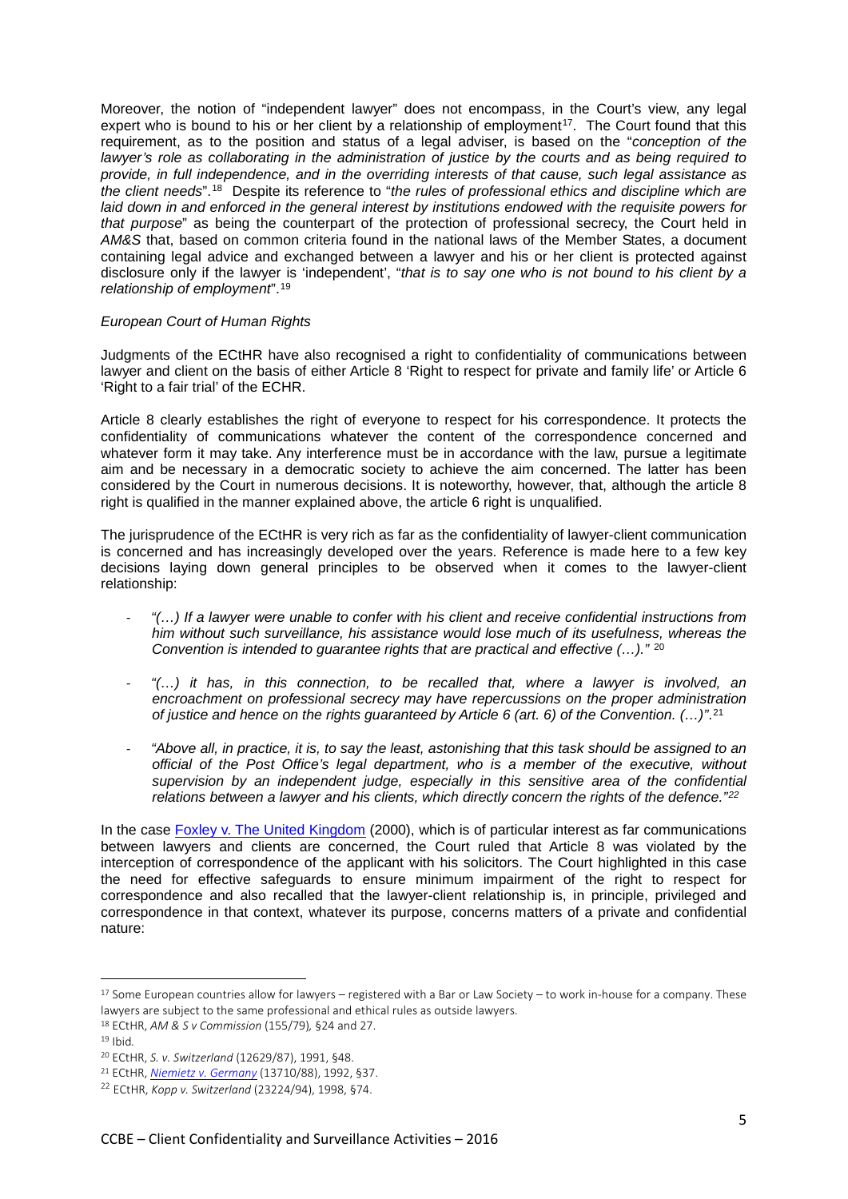Moreover, the notion of "independent lawyer" does not encompass, in the Court's view, any legal expert who is bound to his or her client by a relationship of employment<sup>[17](#page-4-0)</sup>. The Court found that this requirement, as to the position and status of a legal adviser, is based on the "*conception of the lawyer's role as collaborating in the administration of justice by the courts and as being required to provide, in full independence, and in the overriding interests of that cause, such legal assistance as the client needs*".[18](#page-4-1) Despite its reference to "*the rules of professional ethics and discipline which are laid down in and enforced in the general interest by institutions endowed with the requisite powers for that purpose*" as being the counterpart of the protection of professional secrecy, the Court held in *AM&S* that, based on common criteria found in the national laws of the Member States, a document containing legal advice and exchanged between a lawyer and his or her client is protected against disclosure only if the lawyer is 'independent', "*that is to say one who is not bound to his client by a relationship of employment*".[19](#page-4-2)

### *European Court of Human Rights*

Judgments of the ECtHR have also recognised a right to confidentiality of communications between lawyer and client on the basis of either Article 8 'Right to respect for private and family life' or Article 6 'Right to a fair trial' of the ECHR.

Article 8 clearly establishes the right of everyone to respect for his correspondence. It protects the confidentiality of communications whatever the content of the correspondence concerned and whatever form it may take. Any interference must be in accordance with the law, pursue a legitimate aim and be necessary in a democratic society to achieve the aim concerned. The latter has been considered by the Court in numerous decisions. It is noteworthy, however, that, although the article 8 right is qualified in the manner explained above, the article 6 right is unqualified.

The jurisprudence of the ECtHR is very rich as far as the confidentiality of lawyer-client communication is concerned and has increasingly developed over the years. Reference is made here to a few key decisions laying down general principles to be observed when it comes to the lawyer-client relationship:

- *"(…) If a lawyer were unable to confer with his client and receive confidential instructions from him without such surveillance, his assistance would lose much of its usefulness, whereas the Convention is intended to guarantee rights that are practical and effective (…)."* [20](#page-4-3)
- *"(…) it has, in this connection, to be recalled that, where a lawyer is involved, an encroachment on professional secrecy may have repercussions on the proper administration of justice and hence on the rights guaranteed by Article 6 (art. 6) of the Convention. (…)"*.[21](#page-4-4)
- "Above all, in practice, it is, to say the least, astonishing that this task should be assigned to an *official of the Post Office's legal department, who is a member of the executive, without supervision by an independent judge, especially in this sensitive area of the confidential relations between a lawyer and his clients, which directly concern the rights of the defence."[22](#page-4-5)*

In the case **Foxley v. The United Kingdom** (2000), which is of particular interest as far communications between lawyers and clients are concerned, the Court ruled that Article 8 was violated by the interception of correspondence of the applicant with his solicitors. The Court highlighted in this case the need for effective safeguards to ensure minimum impairment of the right to respect for correspondence and also recalled that the lawyer-client relationship is, in principle, privileged and correspondence in that context, whatever its purpose, concerns matters of a private and confidential nature:

l

<span id="page-4-0"></span><sup>&</sup>lt;sup>17</sup> Some European countries allow for lawyers – registered with a Bar or Law Society – to work in-house for a company. These lawyers are subject to the same professional and ethical rules as outside lawyers.

<span id="page-4-1"></span><sup>18</sup> ECtHR, *AM & S v Commission* (155/79)*,* §24 and 27.

<span id="page-4-2"></span><sup>19</sup> Ibid*.*

<sup>20</sup> ECtHR, *S. v. Switzerland* (12629/87), 1991, §48.

<span id="page-4-4"></span><span id="page-4-3"></span><sup>21</sup> ECtHR, *[Niemietz v. Germany](http://hudoc.echr.coe.int/sites/eng/pages/search.aspx?i=001-57887)* (13710/88), 1992, §37.

<span id="page-4-5"></span><sup>22</sup> ECtHR, *Kopp v. Switzerland* (23224/94), 1998, §74.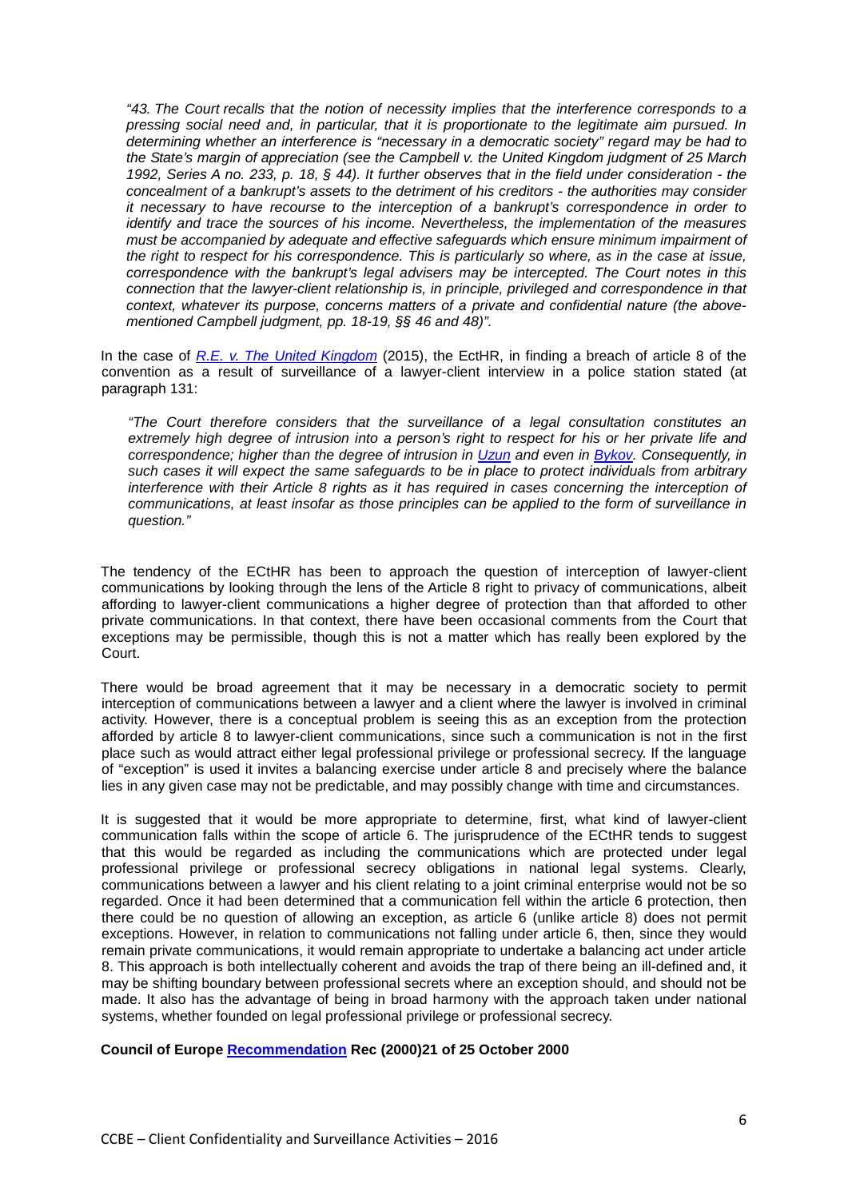*"43. The Court recalls that the notion of necessity implies that the interference corresponds to a pressing social need and, in particular, that it is proportionate to the legitimate aim pursued. In determining whether an interference is "necessary in a democratic society" regard may be had to the State's margin of appreciation (see the Campbell v. the United Kingdom judgment of 25 March 1992, Series A no. 233, p. 18, § 44). It further observes that in the field under consideration - the concealment of a bankrupt's assets to the detriment of his creditors - the authorities may consider it necessary to have recourse to the interception of a bankrupt's correspondence in order to identify and trace the sources of his income. Nevertheless, the implementation of the measures must be accompanied by adequate and effective safeguards which ensure minimum impairment of the right to respect for his correspondence. This is particularly so where, as in the case at issue, correspondence with the bankrupt's legal advisers may be intercepted. The Court notes in this connection that the lawyer-client relationship is, in principle, privileged and correspondence in that context, whatever its purpose, concerns matters of a private and confidential nature (the abovementioned Campbell judgment, pp. 18-19, §§ 46 and 48)".*

In the case of *[R.E. v. The United Kingdom](http://hudoc.echr.coe.int/eng%23%7B%22fulltext%22:%5B%22RE%20v%20Uk%22%5D,%22documentcollectionid2%22:%5B%22GRANDCHAMBER%22,%22CHAMBER%22%5D,%22itemid%22:%5B%22001-158159%22%5D%7D)* (2015), the EctHR, in finding a breach of article 8 of the convention as a result of surveillance of a lawyer-client interview in a police station stated (at paragraph 131:

*"The Court therefore considers that the surveillance of a legal consultation constitutes an extremely high degree of intrusion into a person's right to respect for his or her private life and correspondence; higher than the degree of intrusion in [Uzun](http://hudoc.echr.coe.int/eng%23%7B%22fulltext%22:%5B%22uzun%22%5D,%22documentcollectionid2%22:%5B%22GRANDCHAMBER%22,%22CHAMBER%22%5D,%22itemid%22:%5B%22001-100293%22%5D%7D) and even in [Bykov.](http://hudoc.echr.coe.int/eng%23%7B%22fulltext%22:%5B%22Bykov%22%5D,%22documentcollectionid2%22:%5B%22GRANDCHAMBER%22,%22CHAMBER%22%5D,%22itemid%22:%5B%22001-91704%22%5D%7D) Consequently, in such cases it will expect the same safeguards to be in place to protect individuals from arbitrary interference with their Article 8 rights as it has required in cases concerning the interception of communications, at least insofar as those principles can be applied to the form of surveillance in question."* 

The tendency of the ECtHR has been to approach the question of interception of lawyer-client communications by looking through the lens of the Article 8 right to privacy of communications, albeit affording to lawyer-client communications a higher degree of protection than that afforded to other private communications. In that context, there have been occasional comments from the Court that exceptions may be permissible, though this is not a matter which has really been explored by the Court.

There would be broad agreement that it may be necessary in a democratic society to permit interception of communications between a lawyer and a client where the lawyer is involved in criminal activity. However, there is a conceptual problem is seeing this as an exception from the protection afforded by article 8 to lawyer-client communications, since such a communication is not in the first place such as would attract either legal professional privilege or professional secrecy. If the language of "exception" is used it invites a balancing exercise under article 8 and precisely where the balance lies in any given case may not be predictable, and may possibly change with time and circumstances.

It is suggested that it would be more appropriate to determine, first, what kind of lawyer-client communication falls within the scope of article 6. The jurisprudence of the ECtHR tends to suggest that this would be regarded as including the communications which are protected under legal professional privilege or professional secrecy obligations in national legal systems. Clearly, communications between a lawyer and his client relating to a joint criminal enterprise would not be so regarded. Once it had been determined that a communication fell within the article 6 protection, then there could be no question of allowing an exception, as article 6 (unlike article 8) does not permit exceptions. However, in relation to communications not falling under article 6, then, since they would remain private communications, it would remain appropriate to undertake a balancing act under article 8. This approach is both intellectually coherent and avoids the trap of there being an ill-defined and, it may be shifting boundary between professional secrets where an exception should, and should not be made. It also has the advantage of being in broad harmony with the approach taken under national systems, whether founded on legal professional privilege or professional secrecy.

### **Council of Europe [Recommendation](https://wcd.coe.int/com.instranet.InstraServlet?command=com.instranet.CmdBlobGet&InstranetImage=533749&SecMode=1&DocId=370286&Usage=2) Rec (2000)21 of 25 October 2000**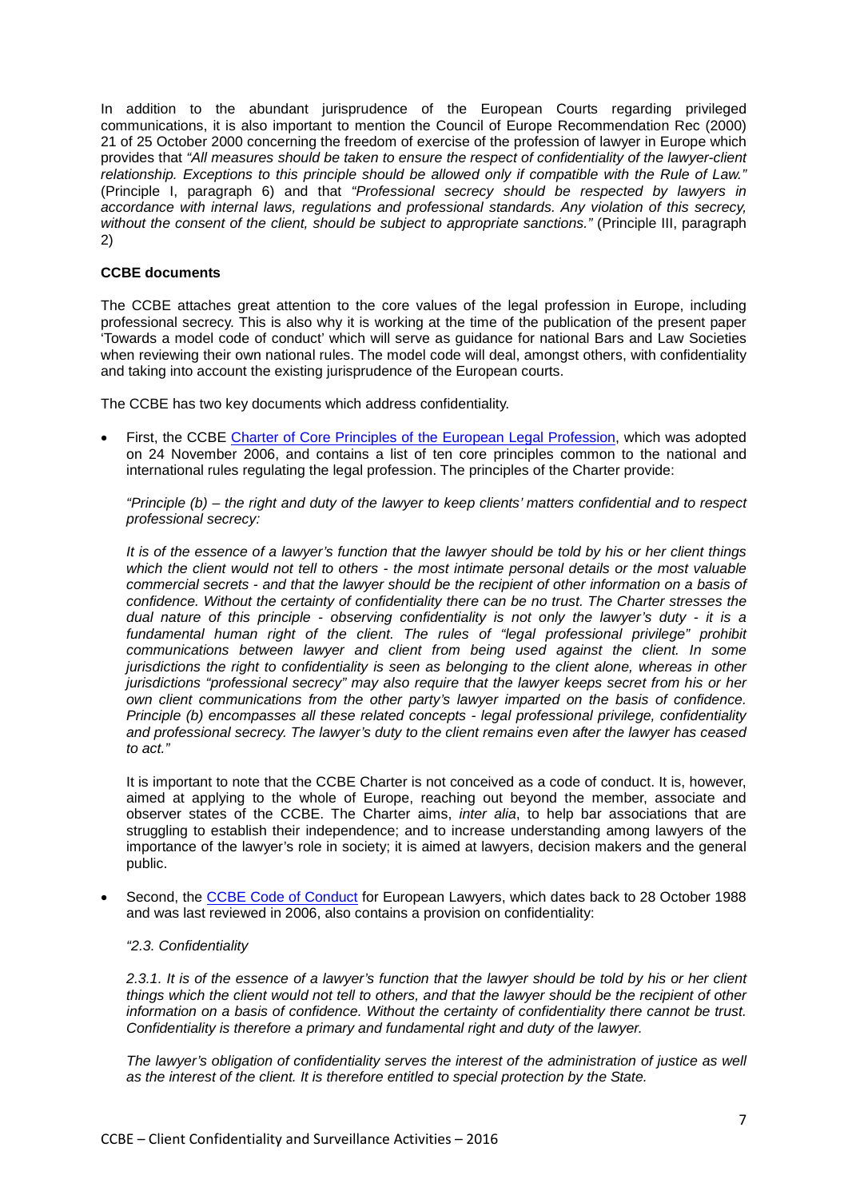In addition to the abundant jurisprudence of the European Courts regarding privileged communications, it is also important to mention the Council of Europe Recommendation Rec (2000) 21 of 25 October 2000 concerning the freedom of exercise of the profession of lawyer in Europe which provides that *"All measures should be taken to ensure the respect of confidentiality of the lawyer-client relationship. Exceptions to this principle should be allowed only if compatible with the Rule of Law."* (Principle I, paragraph 6) and that *"Professional secrecy should be respected by lawyers in accordance with internal laws, regulations and professional standards. Any violation of this secrecy, without the consent of the client, should be subject to appropriate sanctions."* (Principle III, paragraph 2)

# **CCBE documents**

The CCBE attaches great attention to the core values of the legal profession in Europe, including professional secrecy. This is also why it is working at the time of the publication of the present paper 'Towards a model code of conduct' which will serve as guidance for national Bars and Law Societies when reviewing their own national rules. The model code will deal, amongst others, with confidentiality and taking into account the existing jurisprudence of the European courts.

The CCBE has two key documents which address confidentiality.

• First, the CCBE [Charter of Core Principles of the European Legal Profession,](http://www.ccbe.eu/fileadmin/user_upload/NTCdocument/EN_CCBE_CoCpdf1_1382973057.pdf) which was adopted on 24 November 2006, and contains a list of ten core principles common to the national and international rules regulating the legal profession. The principles of the Charter provide:

*"Principle (b) – the right and duty of the lawyer to keep clients' matters confidential and to respect professional secrecy:*

*It is of the essence of a lawyer's function that the lawyer should be told by his or her client things which the client would not tell to others - the most intimate personal details or the most valuable commercial secrets - and that the lawyer should be the recipient of other information on a basis of confidence. Without the certainty of confidentiality there can be no trust. The Charter stresses the dual nature of this principle - observing confidentiality is not only the lawyer's duty - it is a fundamental human right of the client. The rules of "legal professional privilege" prohibit communications between lawyer and client from being used against the client. In some jurisdictions the right to confidentiality is seen as belonging to the client alone, whereas in other jurisdictions "professional secrecy" may also require that the lawyer keeps secret from his or her own client communications from the other party's lawyer imparted on the basis of confidence. Principle (b) encompasses all these related concepts - legal professional privilege, confidentiality and professional secrecy. The lawyer's duty to the client remains even after the lawyer has ceased to act."*

It is important to note that the CCBE Charter is not conceived as a code of conduct. It is, however, aimed at applying to the whole of Europe, reaching out beyond the member, associate and observer states of the CCBE. The Charter aims, *inter alia*, to help bar associations that are struggling to establish their independence; and to increase understanding among lawyers of the importance of the lawyer's role in society; it is aimed at lawyers, decision makers and the general public.

Second, the [CCBE Code of Conduct](http://www.ccbe.eu/fileadmin/user_upload/NTCdocument/EN_CCBE_CoCpdf1_1382973057.pdf) for European Lawyers, which dates back to 28 October 1988 and was last reviewed in 2006, also contains a provision on confidentiality:

### *"2.3. Confidentiality*

*2.3.1. It is of the essence of a lawyer's function that the lawyer should be told by his or her client things which the client would not tell to others, and that the lawyer should be the recipient of other information on a basis of confidence. Without the certainty of confidentiality there cannot be trust. Confidentiality is therefore a primary and fundamental right and duty of the lawyer.*

*The lawyer's obligation of confidentiality serves the interest of the administration of justice as well as the interest of the client. It is therefore entitled to special protection by the State.*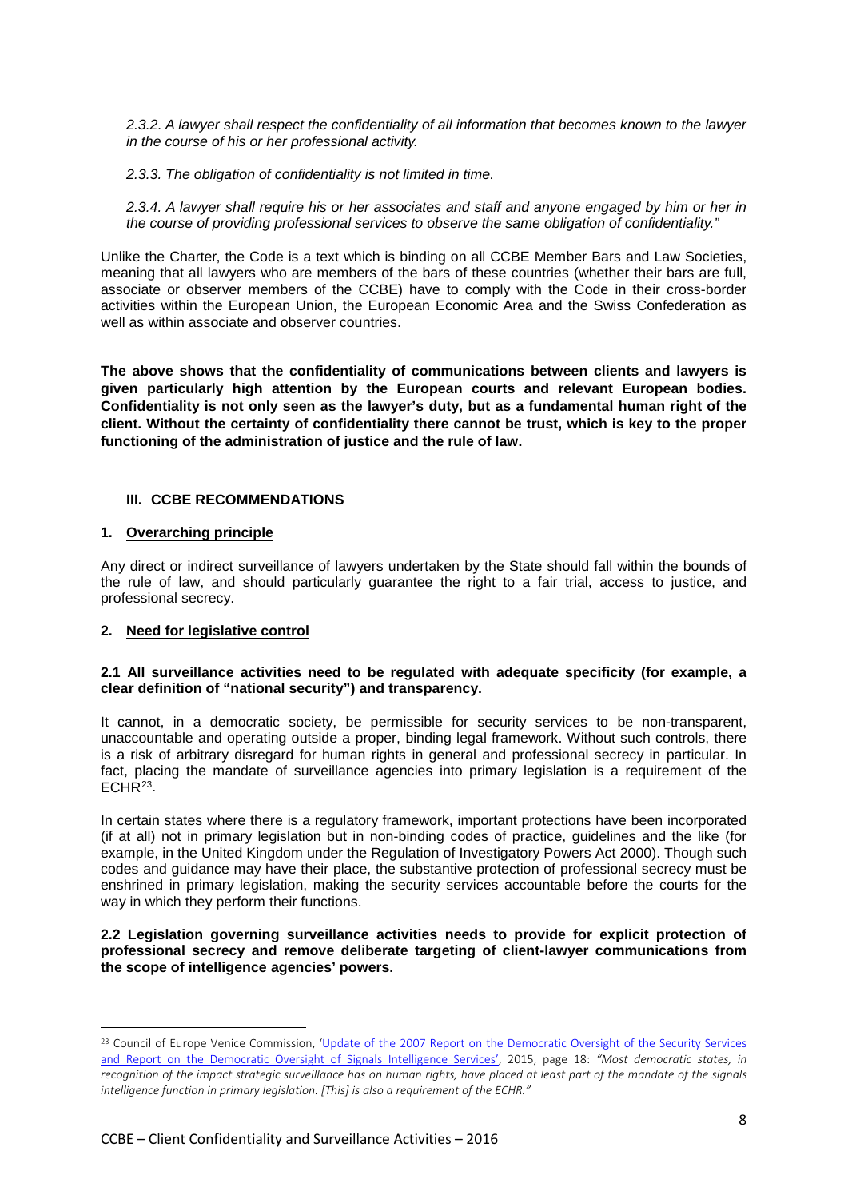*2.3.2. A lawyer shall respect the confidentiality of all information that becomes known to the lawyer in the course of his or her professional activity.*

*2.3.3. The obligation of confidentiality is not limited in time.*

*2.3.4. A lawyer shall require his or her associates and staff and anyone engaged by him or her in the course of providing professional services to observe the same obligation of confidentiality."*

Unlike the Charter, the Code is a text which is binding on all CCBE Member Bars and Law Societies, meaning that all lawyers who are members of the bars of these countries (whether their bars are full, associate or observer members of the CCBE) have to comply with the Code in their cross-border activities within the European Union, the European Economic Area and the Swiss Confederation as well as within associate and observer countries.

**The above shows that the confidentiality of communications between clients and lawyers is given particularly high attention by the European courts and relevant European bodies. Confidentiality is not only seen as the lawyer's duty, but as a fundamental human right of the client. Without the certainty of confidentiality there cannot be trust, which is key to the proper functioning of the administration of justice and the rule of law.** 

### **III. CCBE RECOMMENDATIONS**

### **1. Overarching principle**

Any direct or indirect surveillance of lawyers undertaken by the State should fall within the bounds of the rule of law, and should particularly guarantee the right to a fair trial, access to justice, and professional secrecy.

### **2. Need for legislative control**

 $\overline{a}$ 

### **2.1 All surveillance activities need to be regulated with adequate specificity (for example, a clear definition of "national security") and transparency.**

It cannot, in a democratic society, be permissible for security services to be non-transparent, unaccountable and operating outside a proper, binding legal framework. Without such controls, there is a risk of arbitrary disregard for human rights in general and professional secrecy in particular. In fact, placing the mandate of surveillance agencies into primary legislation is a requirement of the  $ECHR<sup>23</sup>$ .

In certain states where there is a regulatory framework, important protections have been incorporated (if at all) not in primary legislation but in non-binding codes of practice, guidelines and the like (for example, in the United Kingdom under the Regulation of Investigatory Powers Act 2000). Though such codes and guidance may have their place, the substantive protection of professional secrecy must be enshrined in primary legislation, making the security services accountable before the courts for the way in which they perform their functions.

**2.2 Legislation governing surveillance activities needs to provide for explicit protection of professional secrecy and remove deliberate targeting of client-lawyer communications from the scope of intelligence agencies' powers.**

<span id="page-7-0"></span><sup>&</sup>lt;sup>23</sup> Council of Europe Venice Commission, 'Update of the 2007 Report on the Democratic Oversight of the Security Services [and Report on the Democratic Oversight of Signals Intelligence Services',](http://www.venice.coe.int/webforms/documents/default.aspx?pdffile=CDL-AD(2015)006-e) 2015, page 18: *"Most democratic states, in recognition of the impact strategic surveillance has on human rights, have placed at least part of the mandate of the signals intelligence function in primary legislation. [This] is also a requirement of the ECHR."*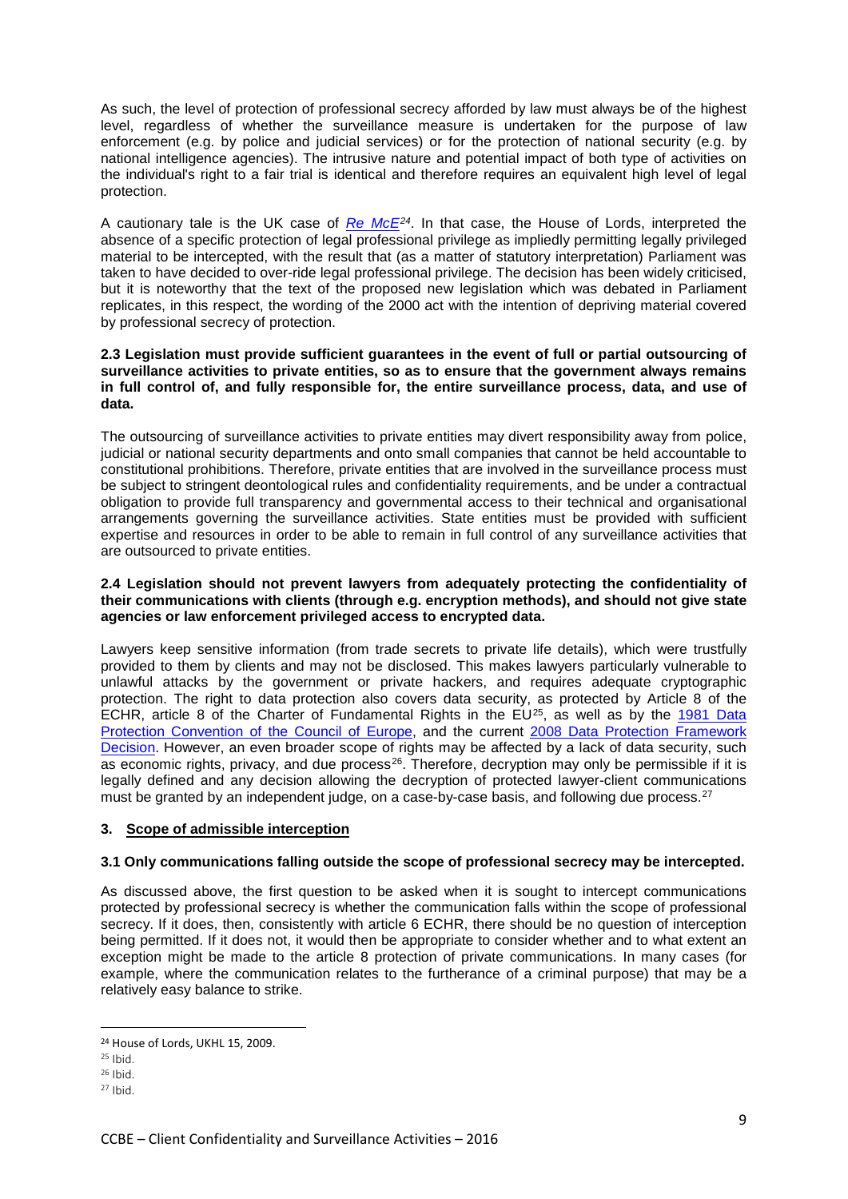As such, the level of protection of professional secrecy afforded by law must always be of the highest level, regardless of whether the surveillance measure is undertaken for the purpose of law enforcement (e.g. by police and judicial services) or for the protection of national security (e.g. by national intelligence agencies). The intrusive nature and potential impact of both type of activities on the individual's right to a fair trial is identical and therefore requires an equivalent high level of legal protection.

A cautionary tale is the UK case of *[Re McE](http://www.publications.parliament.uk/pa/ld200809/ldjudgmt/jd090311/mce-1.htm)[24](#page-8-0)*. In that case, the House of Lords, interpreted the absence of a specific protection of legal professional privilege as impliedly permitting legally privileged material to be intercepted, with the result that (as a matter of statutory interpretation) Parliament was taken to have decided to over-ride legal professional privilege. The decision has been widely criticised, but it is noteworthy that the text of the proposed new legislation which was debated in Parliament replicates, in this respect, the wording of the 2000 act with the intention of depriving material covered by professional secrecy of protection.

### **2.3 Legislation must provide sufficient guarantees in the event of full or partial outsourcing of surveillance activities to private entities, so as to ensure that the government always remains in full control of, and fully responsible for, the entire surveillance process, data, and use of data.**

The outsourcing of surveillance activities to private entities may divert responsibility away from police, judicial or national security departments and onto small companies that cannot be held accountable to constitutional prohibitions. Therefore, private entities that are involved in the surveillance process must be subject to stringent deontological rules and confidentiality requirements, and be under a contractual obligation to provide full transparency and governmental access to their technical and organisational arrangements governing the surveillance activities. State entities must be provided with sufficient expertise and resources in order to be able to remain in full control of any surveillance activities that are outsourced to private entities.

### **2.4 Legislation should not prevent lawyers from adequately protecting the confidentiality of their communications with clients (through e.g. encryption methods), and should not give state agencies or law enforcement privileged access to encrypted data.**

Lawyers keep sensitive information (from trade secrets to private life details), which were trustfully provided to them by clients and may not be disclosed. This makes lawyers particularly vulnerable to unlawful attacks by the government or private hackers, and requires adequate cryptographic protection. The right to data protection also covers data security, as protected by Article 8 of the ECHR, article 8 of the Charter of Fundamental Rights in the  $EU^{25}$  $EU^{25}$  $EU^{25}$ , as well as by the 1981 Data [Protection Convention of the Council of Europe,](https://www.privacycommission.be/sites/privacycommission/files/documents/convention_108_en.pdf) and the current 2008 Data Protection Framework [Decision.](http://eur-lex.europa.eu/legal-content/EN/TXT/?uri=celex%3A32008F0977) However, an even broader scope of rights may be affected by a lack of data security, such as economic rights, privacy, and due process<sup>[26](#page-8-2)</sup>. Therefore, decryption may only be permissible if it is legally defined and any decision allowing the decryption of protected lawyer-client communications must be granted by an independent judge, on a case-by-case basis, and following due process.<sup>[27](#page-8-3)</sup>

# **3. Scope of admissible interception**

# **3.1 Only communications falling outside the scope of professional secrecy may be intercepted.**

As discussed above, the first question to be asked when it is sought to intercept communications protected by professional secrecy is whether the communication falls within the scope of professional secrecy. If it does, then, consistently with article 6 ECHR, there should be no question of interception being permitted. If it does not, it would then be appropriate to consider whether and to what extent an exception might be made to the article 8 protection of private communications. In many cases (for example, where the communication relates to the furtherance of a criminal purpose) that may be a relatively easy balance to strike.

<span id="page-8-0"></span><sup>24</sup> House of Lords, UKHL 15, 2009.

<span id="page-8-1"></span> $25$  Ibid.

<span id="page-8-2"></span> $26$  Ibid.

<span id="page-8-3"></span><sup>27</sup> Ibid.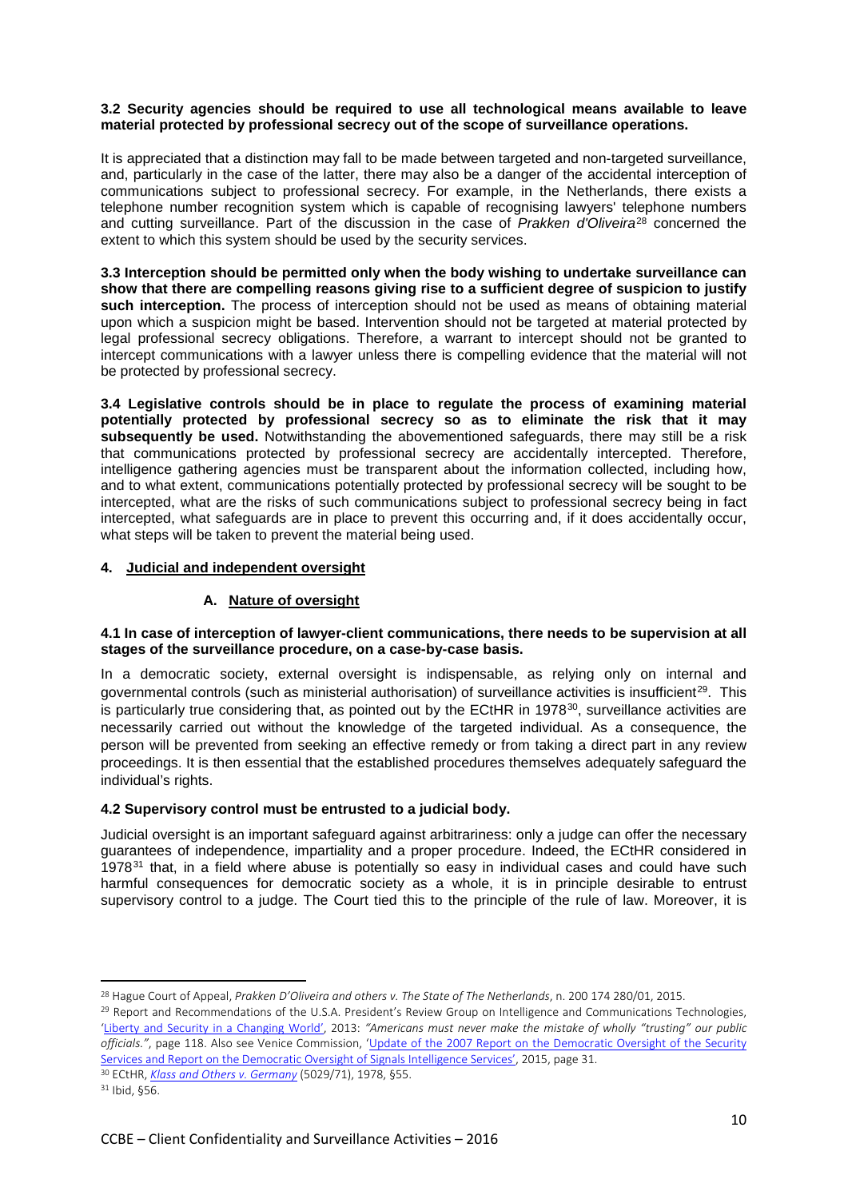### **3.2 Security agencies should be required to use all technological means available to leave material protected by professional secrecy out of the scope of surveillance operations.**

It is appreciated that a distinction may fall to be made between targeted and non-targeted surveillance, and, particularly in the case of the latter, there may also be a danger of the accidental interception of communications subject to professional secrecy. For example, in the Netherlands, there exists a telephone number recognition system which is capable of recognising lawyers' telephone numbers and cutting surveillance. Part of the discussion in the case of *Prakken d'Oliveira*[28](#page-9-0) concerned the extent to which this system should be used by the security services.

**3.3 Interception should be permitted only when the body wishing to undertake surveillance can show that there are compelling reasons giving rise to a sufficient degree of suspicion to justify such interception.** The process of interception should not be used as means of obtaining material upon which a suspicion might be based. Intervention should not be targeted at material protected by legal professional secrecy obligations. Therefore, a warrant to intercept should not be granted to intercept communications with a lawyer unless there is compelling evidence that the material will not be protected by professional secrecy.

**3.4 Legislative controls should be in place to regulate the process of examining material potentially protected by professional secrecy so as to eliminate the risk that it may subsequently be used.** Notwithstanding the abovementioned safeguards, there may still be a risk that communications protected by professional secrecy are accidentally intercepted. Therefore, intelligence gathering agencies must be transparent about the information collected, including how, and to what extent, communications potentially protected by professional secrecy will be sought to be intercepted, what are the risks of such communications subject to professional secrecy being in fact intercepted, what safeguards are in place to prevent this occurring and, if it does accidentally occur, what steps will be taken to prevent the material being used.

# **4. Judicial and independent oversight**

# **A. Nature of oversight**

### **4.1 In case of interception of lawyer-client communications, there needs to be supervision at all stages of the surveillance procedure, on a case-by-case basis.**

In a democratic society, external oversight is indispensable, as relying only on internal and governmental controls (such as ministerial authorisation) of surveillance activities is insufficient<sup>29</sup>. This is particularly true considering that, as pointed out by the ECtHR in 1978<sup>30</sup>, surveillance activities are necessarily carried out without the knowledge of the targeted individual. As a consequence, the person will be prevented from seeking an effective remedy or from taking a direct part in any review proceedings. It is then essential that the established procedures themselves adequately safeguard the individual's rights.

# **4.2 Supervisory control must be entrusted to a judicial body.**

Judicial oversight is an important safeguard against arbitrariness: only a judge can offer the necessary guarantees of independence, impartiality and a proper procedure. Indeed, the ECtHR considered in 1978<sup>[31](#page-9-3)</sup> that, in a field where abuse is potentially so easy in individual cases and could have such harmful consequences for democratic society as a whole, it is in principle desirable to entrust supervisory control to a judge. The Court tied this to the principle of the rule of law. Moreover, it is

<span id="page-9-0"></span><sup>&</sup>lt;sup>28</sup> Hague Court of Appeal, *Prakken D'Oliveira and others v. The State of The Netherlands*, n. 200 174 280/01, 2015.

<span id="page-9-1"></span><sup>&</sup>lt;sup>29</sup> Report and Recommendations of the U.S.A. President's Review Group on Intelligence and Communications Technologies, ['Liberty and Security in a Changing World',](https://www.whitehouse.gov/sites/default/files/docs/2013-12-12_rg_final_report.pdf) 2013: *"Americans must never make the mistake of wholly "trusting" our public officials."*, page 118. Also see Venice Commission, ['Update of the 2007 Report on the Democratic Oversight of the Security](http://www.venice.coe.int/webforms/documents/default.aspx?pdffile=CDL-AD(2015)006-e)  [Services and Report on the Democratic Oversight of Signals Intelligence Services',](http://www.venice.coe.int/webforms/documents/default.aspx?pdffile=CDL-AD(2015)006-e) 2015, page 31. 30 ECtHR, *[Klass and Others v. Germany](http://hudoc.echr.coe.int/eng%23%7B%22fulltext%22:%5B%22klass%22%5D,%22documentcollectionid2%22:%5B%22GRANDCHAMBER%22,%22CHAMBER%22%5D,%22itemid%22:%5B%22001-57510%22%5D%7D)* (5029/71), 1978, §55.

<span id="page-9-2"></span>

<span id="page-9-3"></span> $31$  Ibid, §56.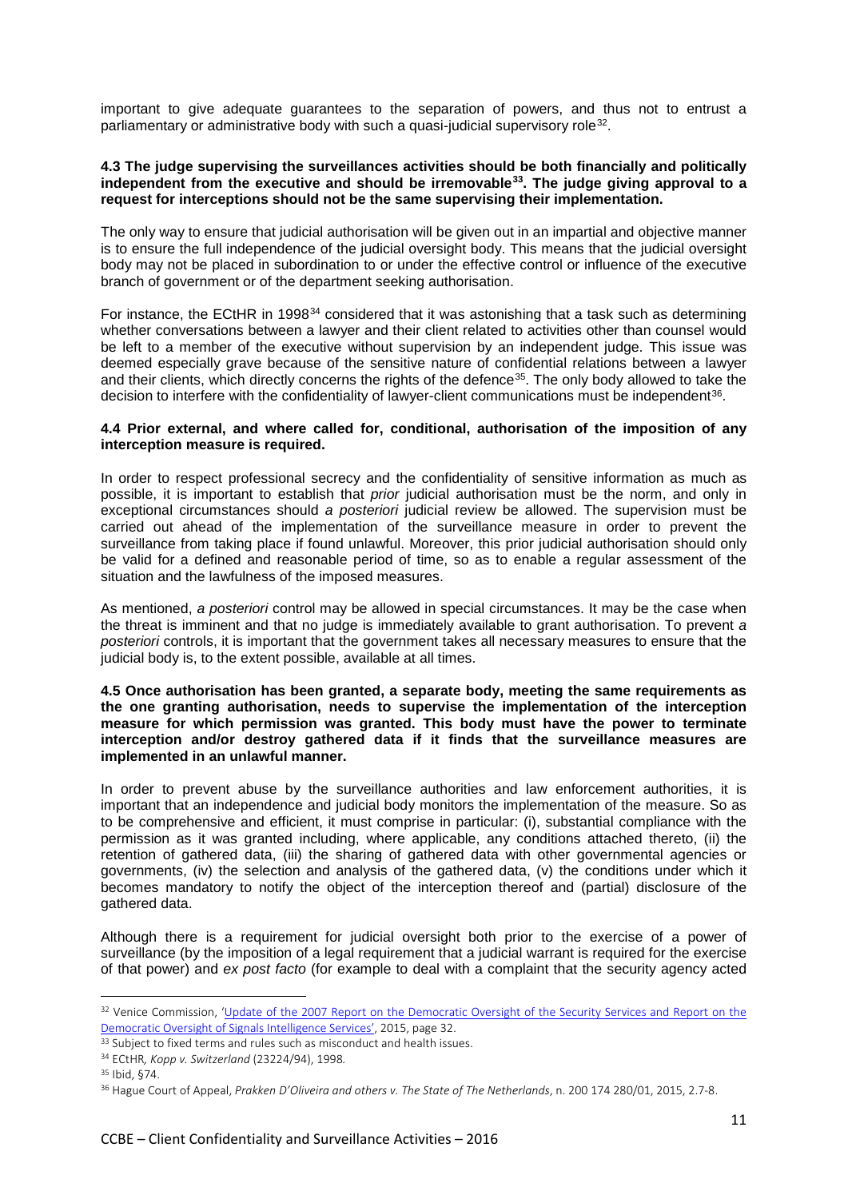important to give adequate guarantees to the separation of powers, and thus not to entrust a parliamentary or administrative body with such a quasi-judicial supervisory role[32](#page-10-0).

### **4.3 The judge supervising the surveillances activities should be both financially and politically independent from the executive and should be irremovable[33](#page-10-1). The judge giving approval to a request for interceptions should not be the same supervising their implementation.**

The only way to ensure that judicial authorisation will be given out in an impartial and objective manner is to ensure the full independence of the judicial oversight body. This means that the judicial oversight body may not be placed in subordination to or under the effective control or influence of the executive branch of government or of the department seeking authorisation.

For instance, the ECtHR in 1998<sup>[34](#page-10-2)</sup> considered that it was astonishing that a task such as determining whether conversations between a lawyer and their client related to activities other than counsel would be left to a member of the executive without supervision by an independent judge. This issue was deemed especially grave because of the sensitive nature of confidential relations between a lawyer and their clients, which directly concerns the rights of the defence<sup>[35](#page-10-3)</sup>. The only body allowed to take the decision to interfere with the confidentiality of lawyer-client communications must be independent<sup>[36](#page-10-4)</sup>.

### **4.4 Prior external, and where called for, conditional, authorisation of the imposition of any interception measure is required.**

In order to respect professional secrecy and the confidentiality of sensitive information as much as possible, it is important to establish that *prior* judicial authorisation must be the norm, and only in exceptional circumstances should *a posteriori* judicial review be allowed. The supervision must be carried out ahead of the implementation of the surveillance measure in order to prevent the surveillance from taking place if found unlawful. Moreover, this prior judicial authorisation should only be valid for a defined and reasonable period of time, so as to enable a regular assessment of the situation and the lawfulness of the imposed measures.

As mentioned, *a posteriori* control may be allowed in special circumstances. It may be the case when the threat is imminent and that no judge is immediately available to grant authorisation. To prevent *a posteriori* controls, it is important that the government takes all necessary measures to ensure that the judicial body is, to the extent possible, available at all times.

#### **4.5 Once authorisation has been granted, a separate body, meeting the same requirements as the one granting authorisation, needs to supervise the implementation of the interception measure for which permission was granted. This body must have the power to terminate interception and/or destroy gathered data if it finds that the surveillance measures are implemented in an unlawful manner.**

In order to prevent abuse by the surveillance authorities and law enforcement authorities, it is important that an independence and judicial body monitors the implementation of the measure. So as to be comprehensive and efficient, it must comprise in particular: (i), substantial compliance with the permission as it was granted including, where applicable, any conditions attached thereto, (ii) the retention of gathered data, (iii) the sharing of gathered data with other governmental agencies or governments, (iv) the selection and analysis of the gathered data, (v) the conditions under which it becomes mandatory to notify the object of the interception thereof and (partial) disclosure of the gathered data.

Although there is a requirement for judicial oversight both prior to the exercise of a power of surveillance (by the imposition of a legal requirement that a judicial warrant is required for the exercise of that power) and *ex post facto* (for example to deal with a complaint that the security agency acted

<span id="page-10-0"></span><sup>&</sup>lt;sup>32</sup> Venice Commission, 'Update of the 2007 Report on the Democratic Oversight of the Security Services and Report on the [Democratic Oversight of Signals Intelligence Services',](http://www.venice.coe.int/webforms/documents/default.aspx?pdffile=CDL-AD(2015)006-e) 2015, page 32.<br><sup>33</sup> Subject to fixed terms and rules such as misconduct and health issues.

<span id="page-10-1"></span>

<span id="page-10-2"></span><sup>34</sup> ECtHR*, Kopp v. Switzerland* (23224/94), 1998*.*

<span id="page-10-3"></span><sup>35</sup> Ibid, §74.

<span id="page-10-4"></span><sup>36</sup> Hague Court of Appeal, *Prakken D'Oliveira and others v. The State of The Netherlands*, n. 200 174 280/01, 2015, 2.7-8.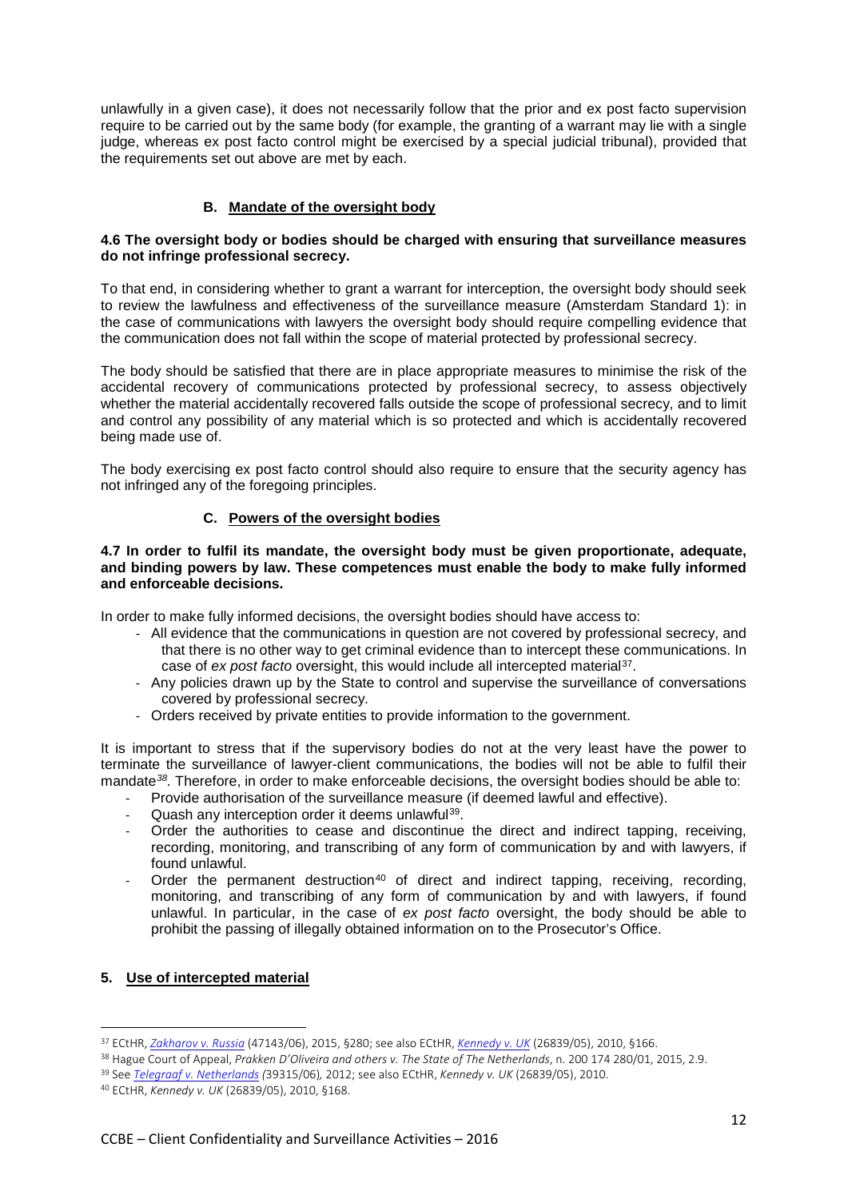unlawfully in a given case), it does not necessarily follow that the prior and ex post facto supervision require to be carried out by the same body (for example, the granting of a warrant may lie with a single judge, whereas ex post facto control might be exercised by a special judicial tribunal), provided that the requirements set out above are met by each.

# **B. Mandate of the oversight body**

### **4.6 The oversight body or bodies should be charged with ensuring that surveillance measures do not infringe professional secrecy.**

To that end, in considering whether to grant a warrant for interception, the oversight body should seek to review the lawfulness and effectiveness of the surveillance measure (Amsterdam Standard 1): in the case of communications with lawyers the oversight body should require compelling evidence that the communication does not fall within the scope of material protected by professional secrecy.

The body should be satisfied that there are in place appropriate measures to minimise the risk of the accidental recovery of communications protected by professional secrecy, to assess objectively whether the material accidentally recovered falls outside the scope of professional secrecy, and to limit and control any possibility of any material which is so protected and which is accidentally recovered being made use of.

The body exercising ex post facto control should also require to ensure that the security agency has not infringed any of the foregoing principles.

# **C. Powers of the oversight bodies**

### **4.7 In order to fulfil its mandate, the oversight body must be given proportionate, adequate, and binding powers by law. These competences must enable the body to make fully informed and enforceable decisions.**

In order to make fully informed decisions, the oversight bodies should have access to:

- All evidence that the communications in question are not covered by professional secrecy, and that there is no other way to get criminal evidence than to intercept these communications. In case of *ex post facto* oversight, this would include all intercepted material[37](#page-11-0).
- Any policies drawn up by the State to control and supervise the surveillance of conversations covered by professional secrecy.
- Orders received by private entities to provide information to the government.

It is important to stress that if the supervisory bodies do not at the very least have the power to terminate the surveillance of lawyer-client communications, the bodies will not be able to fulfil their mandate*[38](#page-11-1).* Therefore, in order to make enforceable decisions, the oversight bodies should be able to:

- Provide authorisation of the surveillance measure (if deemed lawful and effective).
- Quash any interception order it deems unlawful<sup>39</sup>.
- Order the authorities to cease and discontinue the direct and indirect tapping, receiving, recording, monitoring, and transcribing of any form of communication by and with lawyers, if found unlawful.
- Order the permanent destruction<sup>[40](#page-11-3)</sup> of direct and indirect tapping, receiving, recording, monitoring, and transcribing of any form of communication by and with lawyers, if found unlawful. In particular, in the case of *ex post facto* oversight, the body should be able to prohibit the passing of illegally obtained information on to the Prosecutor's Office.

### **5. Use of intercepted material**

<span id="page-11-0"></span><sup>37</sup> ECtHR, *[Zakharov v. Russia](http://hudoc.echr.coe.int/eng%23%7B%22fulltext%22:%5B%22Zakharov%20v.%20Russia%22%5D,%22documentcollectionid2%22:%5B%22GRANDCHAMBER%22,%22CHAMBER%22%5D,%22itemid%22:%5B%22001-159324%22%5D%7D)* (47143/06), 2015, §280; see also ECtHR, *[Kennedy v. UK](http://hudoc.echr.coe.int/eng%23%7B%22fulltext%22:%5B%22kennedy%22%5D,%22documentcollectionid2%22:%5B%22GRANDCHAMBER%22,%22CHAMBER%22%5D,%22itemid%22:%5B%22001-98473%22%5D%7D)* (26839/05), 2010, §166.

<span id="page-11-1"></span><sup>38</sup> Hague Court of Appeal, *Prakken D'Oliveira and others v. The State of The Netherlands*, n. 200 174 280/01, 2015, 2.9.

<span id="page-11-2"></span><sup>39</sup> See *[Telegraaf v. Netherlands](http://hudoc.echr.coe.int/eng%23%7B%22fulltext%22:%5B%22Telegraaf%20v.%20Netherlands%22%5D,%22documentcollectionid2%22:%5B%22GRANDCHAMBER%22,%22CHAMBER%22%5D,%22itemid%22:%5B%22001-114439%22%5D%7D) (*39315/06)*,* 2012; see also ECtHR, *Kennedy v. UK* (26839/05), 2010.

<span id="page-11-3"></span><sup>40</sup> ECtHR, *Kennedy v. UK* (26839/05), 2010, §168.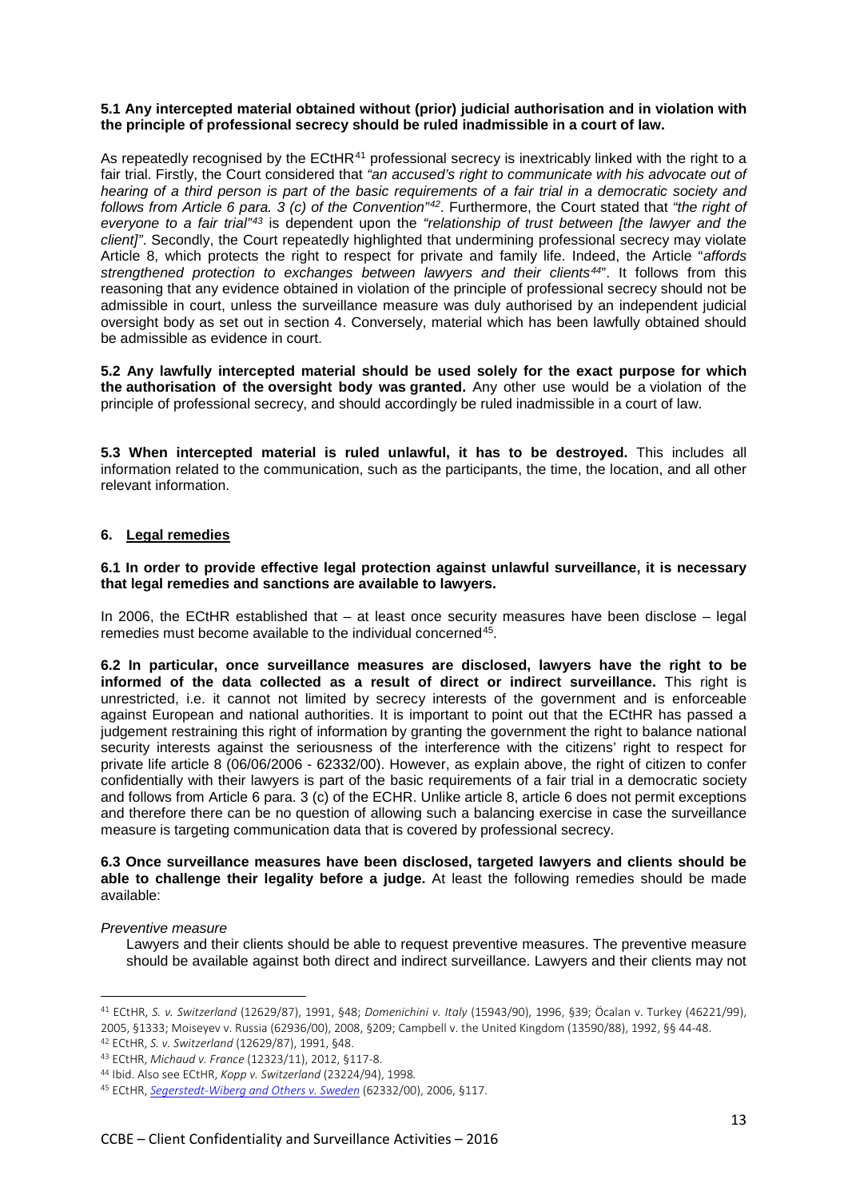### **5.1 Any intercepted material obtained without (prior) judicial authorisation and in violation with the principle of professional secrecy should be ruled inadmissible in a court of law.**

As repeatedly recognised by the ECtHR<sup>[41](#page-12-0)</sup> professional secrecy is inextricably linked with the right to a fair trial. Firstly, the Court considered that *"an accused's right to communicate with his advocate out of hearing of a third person is part of the basic requirements of a fair trial in a democratic society and follows from Article 6 para. 3 (c) of the Convention"[42](#page-12-1)*. Furthermore, the Court stated that *"the right of everyone to a fair trial"[43](#page-12-2)* is dependent upon the *"relationship of trust between [the lawyer and the client]"*. Secondly, the Court repeatedly highlighted that undermining professional secrecy may violate Article 8, which protects the right to respect for private and family life. Indeed, the Article "*affords strengthened protection to exchanges between lawyers and their clients[44](#page-12-3)*". It follows from this reasoning that any evidence obtained in violation of the principle of professional secrecy should not be admissible in court, unless the surveillance measure was duly authorised by an independent judicial oversight body as set out in section 4. Conversely, material which has been lawfully obtained should be admissible as evidence in court.

**5.2 Any lawfully intercepted material should be used solely for the exact purpose for which the authorisation of the oversight body was granted.** Any other use would be a violation of the principle of professional secrecy, and should accordingly be ruled inadmissible in a court of law.

**5.3 When intercepted material is ruled unlawful, it has to be destroyed.** This includes all information related to the communication, such as the participants, the time, the location, and all other relevant information.

# **6. Legal remedies**

**6.1 In order to provide effective legal protection against unlawful surveillance, it is necessary that legal remedies and sanctions are available to lawyers.**

In 2006, the ECtHR established that  $-$  at least once security measures have been disclose  $-$  legal remedies must become available to the individual concerned<sup>[45](#page-12-4)</sup>.

**6.2 In particular, once surveillance measures are disclosed, lawyers have the right to be informed of the data collected as a result of direct or indirect surveillance.** This right is unrestricted, i.e. it cannot not limited by secrecy interests of the government and is enforceable against European and national authorities. It is important to point out that the ECtHR has passed a judgement restraining this right of information by granting the government the right to balance national security interests against the seriousness of the interference with the citizens' right to respect for private life article 8 (06/06/2006 - 62332/00). However, as explain above, the right of citizen to confer confidentially with their lawyers is part of the basic requirements of a fair trial in a democratic society and follows from Article 6 para. 3 (c) of the ECHR. Unlike article 8, article 6 does not permit exceptions and therefore there can be no question of allowing such a balancing exercise in case the surveillance measure is targeting communication data that is covered by professional secrecy.

**6.3 Once surveillance measures have been disclosed, targeted lawyers and clients should be able to challenge their legality before a judge.** At least the following remedies should be made available:

### *Preventive measure*

 $\overline{a}$ 

Lawyers and their clients should be able to request preventive measures. The preventive measure should be available against both direct and indirect surveillance. Lawyers and their clients may not

<span id="page-12-1"></span>

<span id="page-12-0"></span><sup>41</sup> ECtHR, *S. v. Switzerland* (12629/87), 1991, §48; *Domenichini v. Italy* (15943/90), 1996, §39; Öcalan v. Turkey (46221/99), 2005, §1333; Moiseyev v. Russia (62936/00), 2008, §209; Campbell v. the United Kingdom (13590/88), 1992, §§ 44-48.<br><sup>42</sup> ECtHR, S. v. Switzerland (12629/87), 1991, §48.<br><sup>43</sup> ECtHR, Michaud v. France (12323/11), 2012, §117-8

<span id="page-12-3"></span><span id="page-12-2"></span><sup>44</sup> Ibid. Also see ECtHR, *Kopp v. Switzerland* (23224/94), 1998*.*

<span id="page-12-4"></span><sup>45</sup> ECtHR, *[Segerstedt-Wiberg and Others v. Sweden](http://hudoc.echr.coe.int/eng%23%7B%22fulltext%22:%5B%22Segerstedt-Wiberg%20and%20Others%20v.%20Sweden%22%5D,%22documentcollectionid2%22:%5B%22GRANDCHAMBER%22,%22CHAMBER%22%5D,%22itemid%22:%5B%22001-75591%22%5D%7D)* (62332/00), 2006, §117.